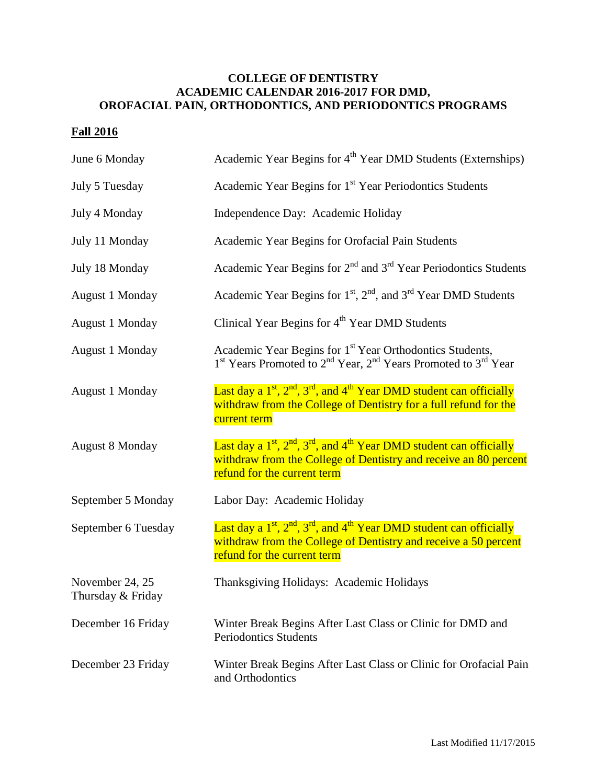## **COLLEGE OF DENTISTRY ACADEMIC CALENDAR 2016-2017 FOR DMD, OROFACIAL PAIN, ORTHODONTICS, AND PERIODONTICS PROGRAMS**

## **Fall 2016**

| June 6 Monday                        | Academic Year Begins for 4 <sup>th</sup> Year DMD Students (Externships)                                                                                                                    |
|--------------------------------------|---------------------------------------------------------------------------------------------------------------------------------------------------------------------------------------------|
| July 5 Tuesday                       | Academic Year Begins for 1 <sup>st</sup> Year Periodontics Students                                                                                                                         |
| July 4 Monday                        | Independence Day: Academic Holiday                                                                                                                                                          |
| July 11 Monday                       | Academic Year Begins for Orofacial Pain Students                                                                                                                                            |
| July 18 Monday                       | Academic Year Begins for $2nd$ and $3rd$ Year Periodontics Students                                                                                                                         |
| <b>August 1 Monday</b>               | Academic Year Begins for $1st$ , $2nd$ , and $3rd$ Year DMD Students                                                                                                                        |
| <b>August 1 Monday</b>               | Clinical Year Begins for 4 <sup>th</sup> Year DMD Students                                                                                                                                  |
| August 1 Monday                      | Academic Year Begins for 1 <sup>st</sup> Year Orthodontics Students,<br>1 <sup>st</sup> Years Promoted to 2 <sup>nd</sup> Year, 2 <sup>nd</sup> Years Promoted to 3 <sup>rd</sup> Year      |
| August 1 Monday                      | Last day a $1^{st}$ , $2^{nd}$ , $3^{rd}$ , and $4^{th}$ Year DMD student can officially<br>withdraw from the College of Dentistry for a full refund for the<br>current term                |
| <b>August 8 Monday</b>               | Last day a $1^{st}$ , $2^{nd}$ , $3^{rd}$ , and $4^{th}$ Year DMD student can officially<br>withdraw from the College of Dentistry and receive an 80 percent<br>refund for the current term |
| September 5 Monday                   | Labor Day: Academic Holiday                                                                                                                                                                 |
| September 6 Tuesday                  | Last day a $1^{st}$ , $2^{nd}$ , $3^{rd}$ , and $4^{th}$ Year DMD student can officially<br>withdraw from the College of Dentistry and receive a 50 percent<br>refund for the current term  |
| November 24, 25<br>Thursday & Friday | Thanksgiving Holidays: Academic Holidays                                                                                                                                                    |
| December 16 Friday                   | Winter Break Begins After Last Class or Clinic for DMD and<br><b>Periodontics Students</b>                                                                                                  |
| December 23 Friday                   | Winter Break Begins After Last Class or Clinic for Orofacial Pain<br>and Orthodontics                                                                                                       |